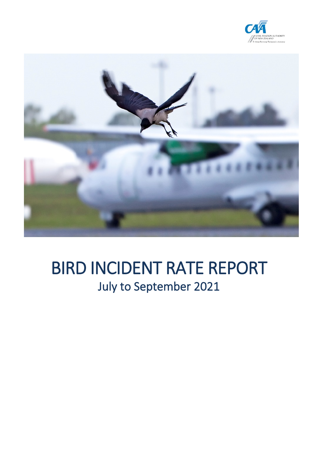



# BIRD INCIDENT RATE REPORT<br>July to September 2021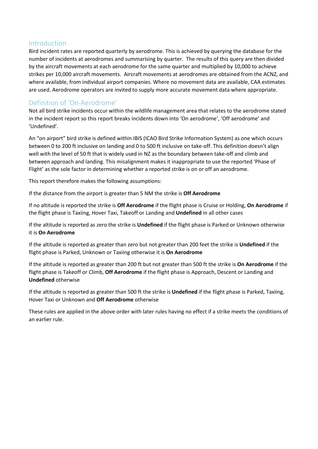#### Introduction

Bird incident rates are reported quarterly by aerodrome. This is achieved by querying the database for the number of incidents at aerodromes and summarising by quarter. The results of this query are then divided by the aircraft movements at each aerodrome for the same quarter and multiplied by 10,000 to achieve strikes per 10,000 aircraft movements. Aircraft movements at aerodromes are obtained from the ACNZ, and where available, from individual airport companies. Where no movement data are available, CAA estimates are used. Aerodrome operators are invited to supply more accurate movement data where appropriate.

#### Definition of 'On-Aerodrome'

Not all bird strike incidents occur within the wildlife management area that relates to the aerodrome stated in the incident report so this report breaks incidents down into 'On aerodrome', 'Off aerodrome' and 'Undefined'.

An "on airport" bird strike is defined within IBIS (ICAO Bird Strike Information System) as one which occurs between 0 to 200 ft inclusive on landing and 0 to 500 ft inclusive on take-off. This definition doesn't align well with the level of 50 ft that is widely used in NZ as the boundary between take-off and climb and between approach and landing. This misalignment makes it inappropriate to use the reported 'Phase of Flight' as the sole factor in determining whether a reported strike is on or off an aerodrome.

This report therefore makes the following assumptions:

If the distance from the airport is greater than 5 NM the strike is **Off Aerodrome**

If no altitude is reported the strike is **Off Aerodrome** if the flight phase is Cruise or Holding, **On Aerodrome** if the flight phase is Taxiing, Hover Taxi, Takeoff or Landing and **Undefined** in all other cases

If the altitude is reported as zero the strike is **Undefined** if the flight phase is Parked or Unknown otherwise it is **On Aerodrome**

If the altitude is reported as greater than zero but not greater than 200 feet the strike is **Undefined** if the flight phase is Parked, Unknown or Taxiing otherwise it is **On Aerodrome**

If the altitude is reported as greater than 200 ft but not greater than 500 ft the strike is **On Aerodrome** if the flight phase is Takeoff or Climb, **Off Aerodrome** if the flight phase is Approach, Descent or Landing and **Undefined** otherwise

If the altitude is reported as greater than 500 ft the strike is **Undefined** if the flight phase is Parked, Taxiing, Hover Taxi or Unknown and **Off Aerodrome** otherwise

These rules are applied in the above order with later rules having no effect if a strike meets the conditions of an earlier rule.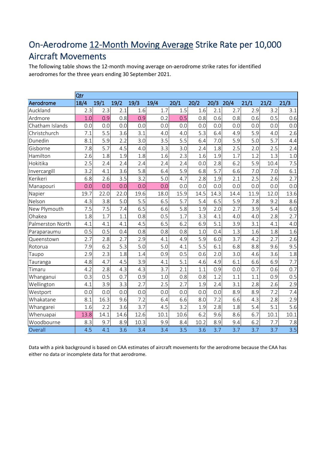# On-Aerodrome 12-Month Moving Average Strike Rate per 10,000 Aircraft Movements

The following table shows the 12-month moving average on-aerodrome strike rates for identified aerodromes for the three years ending 30 September 2021.

|                  | Qtr  |      |      |      |      |      |      |      |      |      |      |      |
|------------------|------|------|------|------|------|------|------|------|------|------|------|------|
| Aerodrome        | 18/4 | 19/1 | 19/2 | 19/3 | 19/4 | 20/1 | 20/2 | 20/3 | 20/4 | 21/1 | 21/2 | 21/3 |
| Auckland         | 2.3  | 2.3  | 2.1  | 1.6  | 1.7  | 1.5  | 1.6  | 2.1  | 2.7  | 2.9  | 3.2  | 3.1  |
| Ardmore          | 1.0  | 0.9  | 0.8  | 0.9  | 0.2  | 0.5  | 0.8  | 0.6  | 0.8  | 0.6  | 0.5  | 0.6  |
| Chatham Islands  | 0.0  | 0.0  | 0.0  | 0.0  | 0.0  | 0.0  | 0.0  | 0.0  | 0.0  | 0.0  | 0.0  | 0.0  |
| Christchurch     | 7.1  | 5.5  | 3.6  | 3.1  | 4.0  | 4.0  | 5.3  | 6.4  | 4.9  | 5.9  | 4.0  | 2.6  |
| Dunedin          | 8.1  | 5.9  | 2.2  | 3.0  | 3.5  | 5.5  | 6.4  | 7.0  | 5.9  | 5.0  | 5.7  | 4.4  |
| Gisborne         | 7.8  | 5.7  | 4.5  | 4.0  | 3.3  | 3.0  | 2.4  | 1.8  | 2.5  | 2.0  | 2.5  | 2.4  |
| Hamilton         | 2.6  | 1.8  | 1.9  | 1.8  | 1.6  | 2.3  | 1.6  | 1.9  | 1.7  | 1.2  | 1.3  | 1.0  |
| Hokitika         | 2.5  | 2.4  | 2.4  | 2.4  | 2.4  | 2.4  | 0.0  | 2.8  | 6.2  | 5.9  | 10.4 | 7.5  |
| Invercargill     | 3.2  | 4.1  | 3.6  | 5.8  | 6.4  | 5.9  | 6.8  | 5.7  | 6.6  | 7.0  | 7.0  | 6.1  |
| Kerikeri         | 6.8  | 2.6  | 3.5  | 3.2  | 5.0  | 4.7  | 2.8  | 1.9  | 2.1  | 2.5  | 2.6  | 2.7  |
| Manapouri        | 0.0  | 0.0  | 0.0  | 0.0  | 0.0  | 0.0  | 0.0  | 0.0  | 0.0  | 0.0  | 0.0  | 0.0  |
| Napier           | 19.7 | 22.0 | 22.0 | 19.6 | 18.0 | 15.9 | 14.5 | 14.3 | 14.4 | 11.9 | 12.0 | 13.6 |
| Nelson           | 4.3  | 3.8  | 5.0  | 5.5  | 6.5  | 5.7  | 5.4  | 6.5  | 5.9  | 7.8  | 9.2  | 8.6  |
| New Plymouth     | 7.5  | 7.5  | 7.4  | 6.5  | 6.6  | 5.8  | 1.9  | 2.0  | 2.7  | 3.9  | 5.4  | 6.0  |
| Ohakea           | 1.8  | 1.7  | 1.1  | 0.8  | 0.5  | 1.7  | 3.3  | 4.1  | 4.0  | 4.0  | 2.8  | 2.7  |
| Palmerston North | 4.1  | 4.1  | 4.1  | 4.5  | 6.5  | 6.2  | 6.9  | 5.1  | 3.9  | 3.1  | 4.1  | 4.0  |
| Paraparaumu      | 0.5  | 0.5  | 0.4  | 0.8  | 0.8  | 0.8  | 1.0  | 0.4  | 1.3  | 1.6  | 1.8  | 1.6  |
| Queenstown       | 2.7  | 2.8  | 2.7  | 2.9  | 4.1  | 4.9  | 5.9  | 6.0  | 3.7  | 4.2  | 2.7  | 2.6  |
| Rotorua          | 7.9  | 6.2  | 5.3  | 5.0  | 5.0  | 4.1  | 5.5  | 6.1  | 6.8  | 8.8  | 9.6  | 9.5  |
| Taupo            | 2.9  | 2.3  | 1.8  | 1.4  | 0.9  | 0.5  | 0.6  | 2.0  | 3.0  | 4.6  | 3.6  | 1.8  |
| Tauranga         | 4.8  | 4.7  | 4.5  | 3.9  | 4.1  | 5.1  | 4.6  | 4.9  | 6.1  | 6.6  | 6.9  | 7.7  |
| Timaru           | 4.2  | 2.8  | 4.3  | 4.3  | 3.7  | 2.1  | 1.1  | 0.9  | 0.0  | 0.7  | 0.6  | 0.7  |
| Whanganui        | 0.3  | 0.5  | 0.7  | 0.9  | 1.0  | 0.8  | 0.8  | 1.2  | 1.1  | 1.1  | 0.9  | 0.5  |
| Wellington       | 4.1  | 3.9  | 3.3  | 2.7  | 2.5  | 2.7  | 1.9  | 2.4  | 3.1  | 2.8  | 2.6  | 2.9  |
| Westport         | 0.0  | 0.0  | 0.0  | 0.0  | 0.0  | 0.0  | 0.0  | 0.0  | 8.9  | 8.9  | 7.2  | 7.4  |
| Whakatane        | 8.1  | 16.3 | 9.6  | 7.2  | 6.4  | 6.6  | 8.0  | 7.2  | 6.6  | 4.3  | 2.8  | 2.9  |
| Whangarei        | 1.6  | 2.2  | 3.6  | 3.7  | 4.5  | 3.2  | 1.9  | 2.8  | 1.8  | 5.4  | 5.1  | 5.6  |
| Whenuapai        | 13.8 | 14.1 | 14.6 | 12.6 | 10.1 | 10.6 | 6.2  | 9.6  | 8.6  | 6.7  | 10.1 | 10.1 |
| Woodbourne       | 8.3  | 9.7  | 8.9  | 10.3 | 9.9  | 8.4  | 10.2 | 8.9  | 9.4  | 6.2  | 7.7  | 7.8  |
| Overall          | 4.5  | 4.1  | 3.6  | 3.4  | 3.4  | 3.5  | 3.6  | 3.7  | 3.7  | 3.7  | 3.7  | 3.5  |

Data with a pink background is based on CAA estimates of aircraft movements for the aerodrome because the CAA has either no data or incomplete data for that aerodrome.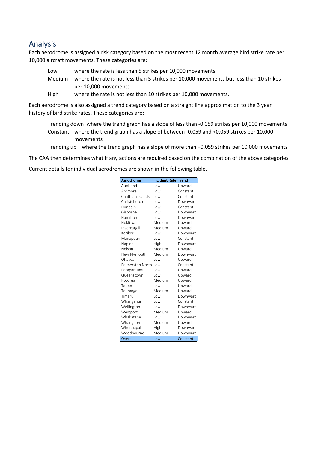#### Analysis

Each aerodrome is assigned a risk category based on the most recent 12 month average bird strike rate per 10,000 aircraft movements. These categories are:

- Low where the rate is less than 5 strikes per 10,000 movements Medium where the rate is not less than 5 strikes per 10,000 movements but less than 10 strikes per 10,000 movements
- High where the rate is not less than 10 strikes per 10,000 movements.

Each aerodrome is also assigned a trend category based on a straight line approximation to the 3 year history of bird strike rates. These categories are:

- Trending down where the trend graph has a slope of less than -0.059 strikes per 10,000 movements Constant where the trend graph has a slope of between -0.059 and +0.059 strikes per 10,000 movements
- Trending up where the trend graph has a slope of more than +0.059 strikes per 10,000 movements

The CAA then determines what if any actions are required based on the combination of the above categories

Current details for individual aerodromes are shown in the following table.

| Aerodrome        | <b>Incident Rate Trend</b> |          |
|------------------|----------------------------|----------|
| Auckland         | Low                        | Upward   |
| Ardmore          | l ow                       | Constant |
| Chatham Islands  | l ow                       | Constant |
| Christchurch     | l ow                       | Downward |
| Dunedin          | l ow                       | Constant |
| Gisborne         | l ow                       | Downward |
| Hamilton         | l ow                       | Downward |
| Hokitika         | Medium                     | Upward   |
| Invercargill     | Medium                     | Upward   |
| Kerikeri         | l ow                       | Downward |
| Manapouri        | l ow                       | Constant |
| Napier           | High                       | Downward |
| Nelson           | Medium                     | Upward   |
| New Plymouth     | Medium                     | Downward |
| Ohakea           | l ow                       | Upward   |
| Palmerston North | l ow                       | Constant |
| Paraparaumu      | l ow                       | Upward   |
| Queenstown       | l ow                       | Upward   |
| Rotorua          | Medium                     | Upward   |
| Taupo            | l ow                       | Upward   |
| Tauranga         | Medium                     | Upward   |
| Timaru           | l ow                       | Downward |
| Whanganui        | l ow                       | Constant |
| Wellington       | l ow                       | Downward |
| Westport         | Medium                     | Upward   |
| Whakatane        | l ow                       | Downward |
| Whangarei        | Medium                     | Upward   |
| Whenuapai        | High                       | Downward |
| Woodbourne       | Medium                     | Downward |
| Overall          | Low                        | Constant |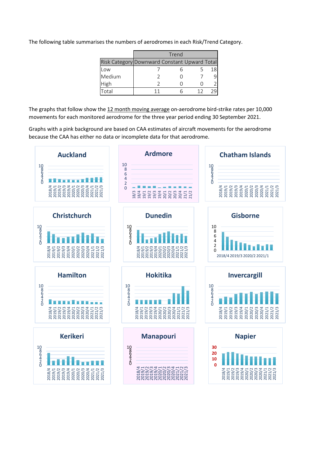| The following table summarises the numbers of aerodromes in each Risk/Trend Category. |  |  |
|---------------------------------------------------------------------------------------|--|--|
|                                                                                       |  |  |

|                                              | Trend |  |  |    |  |  |  |  |  |
|----------------------------------------------|-------|--|--|----|--|--|--|--|--|
| Risk Category Downward Constant Upward Total |       |  |  |    |  |  |  |  |  |
| Low                                          |       |  |  | 18 |  |  |  |  |  |
| Medium                                       |       |  |  |    |  |  |  |  |  |
| High                                         |       |  |  |    |  |  |  |  |  |
| -<br>ัก†ล                                    |       |  |  |    |  |  |  |  |  |

The graphs that follow show the 12 month moving average on-aerodrome bird-strike rates per 10,000 movements for each monitored aerodrome for the three year period ending 30 September 2021.

Graphs with a pink background are based on CAA estimates of aircraft movements for the aerodrome because the CAA has either no data or incomplete data for that aerodrome.

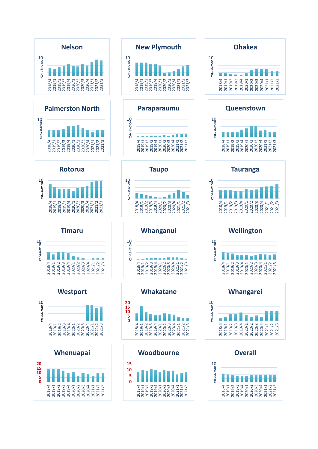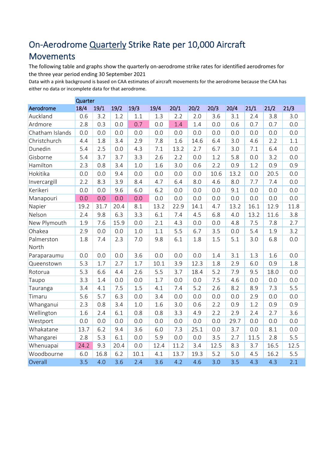# On-Aerodrome Quarterly Strike Rate per 10,000 Aircraft

# Movements

The following table and graphs show the quarterly on-aerodrome strike rates for identified aerodromes for the three year period ending 30 September 2021

Data with a pink background is based on CAA estimates of aircraft movements for the aerodrome because the CAA has either no data or incomplete data for that aerodrome.

|                 | Quarter |      |      |      |      |      |      |      |      |      |      |      |
|-----------------|---------|------|------|------|------|------|------|------|------|------|------|------|
| Aerodrome       | 18/4    | 19/1 | 19/2 | 19/3 | 19/4 | 20/1 | 20/2 | 20/3 | 20/4 | 21/1 | 21/2 | 21/3 |
| Auckland        | 0.6     | 3.2  | 1.2  | 1.1  | 1.3  | 2.2  | 2.0  | 3.6  | 3.1  | 2.4  | 3.8  | 3.0  |
| Ardmore         | 2.8     | 0.3  | 0.0  | 0.7  | 0.0  | 1.4  | 1.4  | 0.0  | 0.6  | 0.7  | 0.7  | 0.0  |
| Chatham Islands | 0.0     | 0.0  | 0.0  | 0.0  | 0.0  | 0.0  | 0.0  | 0.0  | 0.0  | 0.0  | 0.0  | 0.0  |
| Christchurch    | 4.4     | 1.8  | 3.4  | 2.9  | 7.8  | 1.6  | 14.6 | 6.4  | 3.0  | 4.6  | 2.2  | 1.1  |
| Dunedin         | 5.4     | 2.5  | 0.0  | 4.3  | 7.1  | 13.2 | 2.7  | 6.7  | 3.0  | 7.1  | 6.4  | 0.0  |
| Gisborne        | 5.4     | 3.7  | 3.7  | 3.3  | 2.6  | 2.2  | 0.0  | 1.2  | 5.8  | 0.0  | 3.2  | 0.0  |
| Hamilton        | 2.3     | 0.8  | 3.4  | 1.0  | 1.6  | 3.0  | 0.6  | 2.2  | 0.9  | 1.2  | 0.9  | 0.9  |
| Hokitika        | 0.0     | 0.0  | 9.4  | 0.0  | 0.0  | 0.0  | 0.0  | 10.6 | 13.2 | 0.0  | 20.5 | 0.0  |
| Invercargill    | 2.2     | 8.3  | 3.9  | 8.4  | 4.7  | 6.4  | 8.0  | 4.6  | 8.0  | 7.7  | 7.4  | 0.0  |
| Kerikeri        | 0.0     | 0.0  | 9.6  | 6.0  | 6.2  | 0.0  | 0.0  | 0.0  | 9.1  | 0.0  | 0.0  | 0.0  |
| Manapouri       | 0.0     | 0.0  | 0.0  | 0.0  | 0.0  | 0.0  | 0.0  | 0.0  | 0.0  | 0.0  | 0.0  | 0.0  |
| Napier          | 19.2    | 31.7 | 20.4 | 8.1  | 13.2 | 22.9 | 14.1 | 4.7  | 13.2 | 16.1 | 12.9 | 11.8 |
| Nelson          | 2.4     | 9.8  | 6.3  | 3.3  | 6.1  | 7.4  | 4.5  | 6.8  | 4.0  | 13.2 | 11.6 | 3.8  |
| New Plymouth    | 1.9     | 7.6  | 15.9 | 0.0  | 2.1  | 4.3  | 0.0  | 0.0  | 4.8  | 7.5  | 7.8  | 2.7  |
| Ohakea          | 2.9     | 0.0  | 0.0  | 1.0  | 1.1  | 5.5  | 6.7  | 3.5  | 0.0  | 5.4  | 1.9  | 3.2  |
| Palmerston      | 1.8     | 7.4  | 2.3  | 7.0  | 9.8  | 6.1  | 1.8  | 1.5  | 5.1  | 3.0  | 6.8  | 0.0  |
| North           |         |      |      |      |      |      |      |      |      |      |      |      |
| Paraparaumu     | 0.0     | 0.0  | 0.0  | 3.6  | 0.0  | 0.0  | 0.0  | 1.4  | 3.1  | 1.3  | 1.6  | 0.0  |
| Queenstown      | 5.3     | 1.7  | 2.7  | 1.7  | 10.1 | 3.9  | 12.3 | 1.8  | 2.9  | 6.0  | 0.9  | 1.8  |
| Rotorua         | 5.3     | 6.6  | 4.4  | 2.6  | 5.5  | 3.7  | 18.4 | 5.2  | 7.9  | 9.5  | 18.0 | 0.0  |
| Taupo           | 3.3     | 1.4  | 0.0  | 0.0  | 1.7  | 0.0  | 0.0  | 7.5  | 4.6  | 0.0  | 0.0  | 0.0  |
| Tauranga        | 3.4     | 4.1  | 7.5  | 1.5  | 4.1  | 7.4  | 5.2  | 2.6  | 8.2  | 8.9  | 7.3  | 5.5  |
| Timaru          | 5.6     | 5.7  | 6.3  | 0.0  | 3.4  | 0.0  | 0.0  | 0.0  | 0.0  | 2.9  | 0.0  | 0.0  |
| Whanganui       | 2.3     | 0.8  | 3.4  | 1.0  | 1.6  | 3.0  | 0.6  | 2.2  | 0.9  | 1.2  | 0.9  | 0.9  |
| Wellington      | 1.6     | 2.4  | 6.1  | 0.8  | 0.8  | 3.3  | 4.9  | 2.2  | 2.9  | 2.4  | 2.7  | 3.6  |
| Westport        | 0.0     | 0.0  | 0.0  | 0.0  | 0.0  | 0.0  | 0.0  | 0.0  | 29.7 | 0.0  | 0.0  | 0.0  |
| Whakatane       | 13.7    | 6.2  | 9.4  | 3.6  | 6.0  | 7.3  | 25.1 | 0.0  | 3.7  | 0.0  | 8.1  | 0.0  |
| Whangarei       | 2.8     | 5.3  | 6.1  | 0.0  | 5.9  | 0.0  | 0.0  | 3.5  | 2.7  | 11.5 | 2.8  | 5.5  |
| Whenuapai       | 24.2    | 9.3  | 20.4 | 0.0  | 12.4 | 11.2 | 3.4  | 12.5 | 8.3  | 3.7  | 16.5 | 12.5 |
| Woodbourne      | 6.0     | 16.8 | 6.2  | 10.1 | 4.1  | 13.7 | 19.3 | 5.2  | 5.0  | 4.5  | 16.2 | 5.5  |
| Overall         | 3.5     | 4.0  | 3.6  | 2.4  | 3.6  | 4.2  | 4.6  | 3.0  | 3.5  | 4.3  | 4.3  | 2.1  |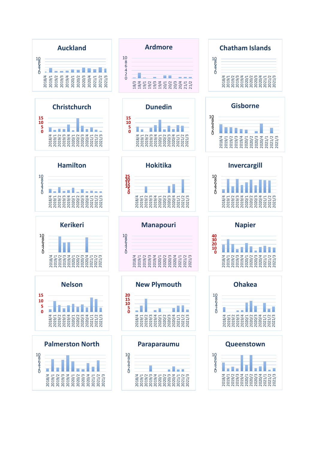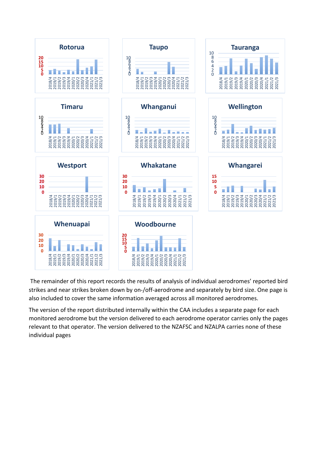

The remainder of this report records the results of analysis of individual aerodromes' reported bird strikes and near strikes broken down by on-/off-aerodrome and separately by bird size. One page is also included to cover the same information averaged across all monitored aerodromes.

The version of the report distributed internally within the CAA includes a separate page for each monitored aerodrome but the version delivered to each aerodrome operator carries only the pages relevant to that operator. The version delivered to the NZAFSC and NZALPA carries none of these individual pages